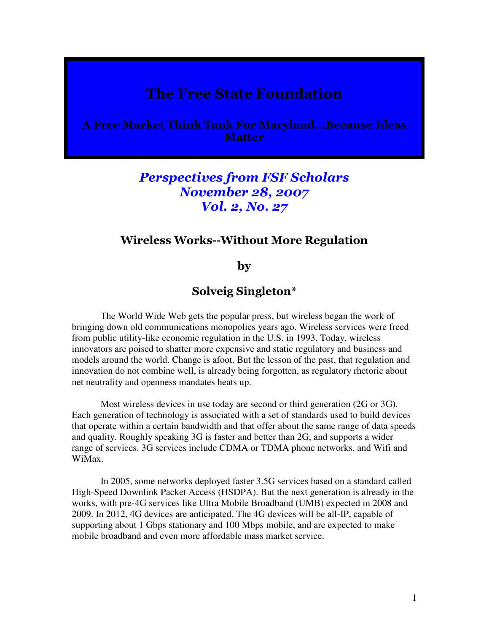## The Free State Foundation

A Free Market Think Tank For Maryland…Because Ideas **Matter** 

## Perspectives from FSF Scholars November 28, 2007 Vol. 2, No. 27

## Wireless Works--Without More Regulation

by

## Solveig Singleton\*

 The World Wide Web gets the popular press, but wireless began the work of bringing down old communications monopolies years ago. Wireless services were freed from public utility-like economic regulation in the U.S. in 1993. Today, wireless innovators are poised to shatter more expensive and static regulatory and business and models around the world. Change is afoot. But the lesson of the past, that regulation and innovation do not combine well, is already being forgotten, as regulatory rhetoric about net neutrality and openness mandates heats up.

 Most wireless devices in use today are second or third generation (2G or 3G). Each generation of technology is associated with a set of standards used to build devices that operate within a certain bandwidth and that offer about the same range of data speeds and quality. Roughly speaking 3G is faster and better than 2G, and supports a wider range of services. 3G services include CDMA or TDMA phone networks, and Wifi and WiMax.

In 2005, some networks deployed faster 3.5G services based on a standard called High-Speed Downlink Packet Access (HSDPA). But the next generation is already in the works, with pre-4G services like Ultra Mobile Broadband (UMB) expected in 2008 and 2009. In 2012, 4G devices are anticipated. The 4G devices will be all-IP, capable of supporting about 1 Gbps stationary and 100 Mbps mobile, and are expected to make mobile broadband and even more affordable mass market service.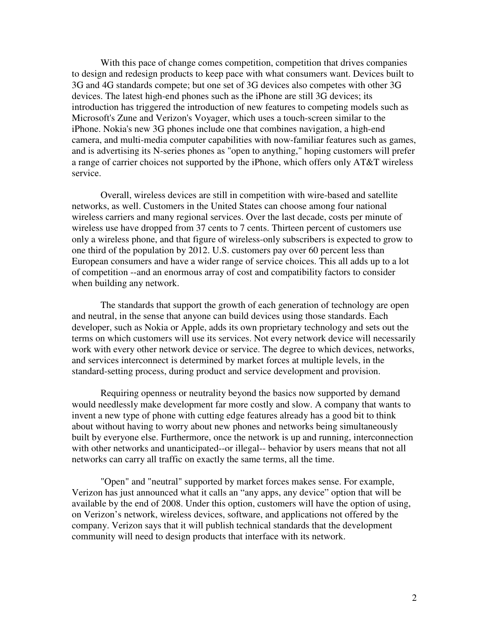With this pace of change comes competition, competition that drives companies to design and redesign products to keep pace with what consumers want. Devices built to 3G and 4G standards compete; but one set of 3G devices also competes with other 3G devices. The latest high-end phones such as the iPhone are still 3G devices; its introduction has triggered the introduction of new features to competing models such as Microsoft's Zune and Verizon's Voyager, which uses a touch-screen similar to the iPhone. Nokia's new 3G phones include one that combines navigation, a high-end camera, and multi-media computer capabilities with now-familiar features such as games, and is advertising its N-series phones as "open to anything," hoping customers will prefer a range of carrier choices not supported by the iPhone, which offers only AT&T wireless service.

Overall, wireless devices are still in competition with wire-based and satellite networks, as well. Customers in the United States can choose among four national wireless carriers and many regional services. Over the last decade, costs per minute of wireless use have dropped from 37 cents to 7 cents. Thirteen percent of customers use only a wireless phone, and that figure of wireless-only subscribers is expected to grow to one third of the population by 2012. U.S. customers pay over 60 percent less than European consumers and have a wider range of service choices. This all adds up to a lot of competition --and an enormous array of cost and compatibility factors to consider when building any network.

 The standards that support the growth of each generation of technology are open and neutral, in the sense that anyone can build devices using those standards. Each developer, such as Nokia or Apple, adds its own proprietary technology and sets out the terms on which customers will use its services. Not every network device will necessarily work with every other network device or service. The degree to which devices, networks, and services interconnect is determined by market forces at multiple levels, in the standard-setting process, during product and service development and provision.

 Requiring openness or neutrality beyond the basics now supported by demand would needlessly make development far more costly and slow. A company that wants to invent a new type of phone with cutting edge features already has a good bit to think about without having to worry about new phones and networks being simultaneously built by everyone else. Furthermore, once the network is up and running, interconnection with other networks and unanticipated--or illegal-- behavior by users means that not all networks can carry all traffic on exactly the same terms, all the time.

"Open" and "neutral" supported by market forces makes sense. For example, Verizon has just announced what it calls an "any apps, any device" option that will be available by the end of 2008. Under this option, customers will have the option of using, on Verizon's network, wireless devices, software, and applications not offered by the company. Verizon says that it will publish technical standards that the development community will need to design products that interface with its network.